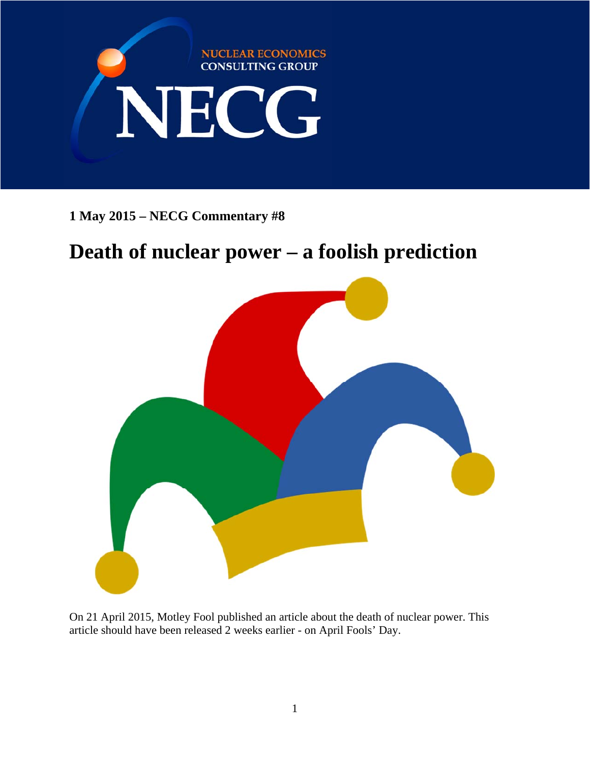

**1 May 2015 – NECG Commentary #8** 

# **Death of nuclear power – a foolish prediction**



On 21 April 2015, Motley Fool published an article about the death of nuclear power. This article should have been released 2 weeks earlier - on April Fools' Day.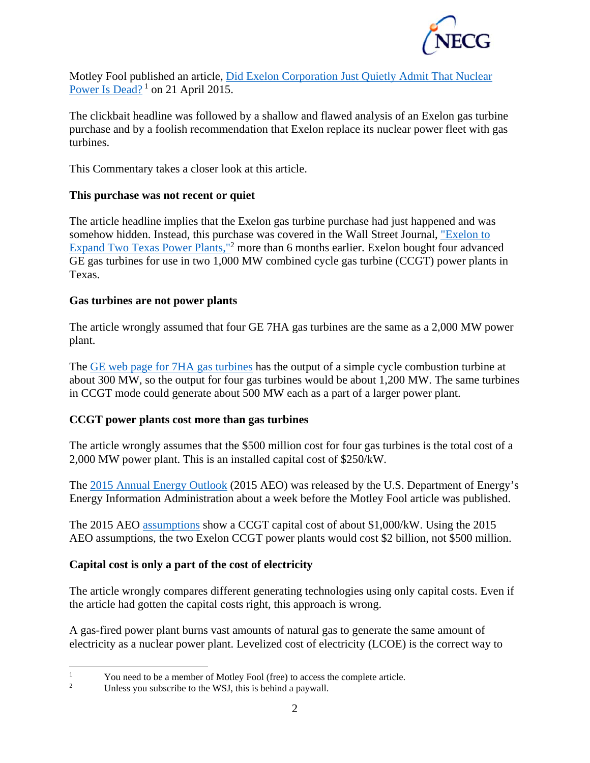

Motley Fool published an article, Did Exelon Corporation Just Quietly Admit That Nuclear Power Is Dead?<sup>1</sup> on 21 April 2015.

The clickbait headline was followed by a shallow and flawed analysis of an Exelon gas turbine purchase and by a foolish recommendation that Exelon replace its nuclear power fleet with gas turbines.

This Commentary takes a closer look at this article.

### **This purchase was not recent or quiet**

The article headline implies that the Exelon gas turbine purchase had just happened and was somehow hidden. Instead, this purchase was covered in the Wall Street Journal, "Exelon to Expand Two Texas Power Plants,"<sup>2</sup> more than 6 months earlier. Exelon bought four advanced GE gas turbines for use in two 1,000 MW combined cycle gas turbine (CCGT) power plants in Texas.

#### **Gas turbines are not power plants**

The article wrongly assumed that four GE 7HA gas turbines are the same as a 2,000 MW power plant.

The GE web page for 7HA gas turbines has the output of a simple cycle combustion turbine at about 300 MW, so the output for four gas turbines would be about 1,200 MW. The same turbines in CCGT mode could generate about 500 MW each as a part of a larger power plant.

#### **CCGT power plants cost more than gas turbines**

The article wrongly assumes that the \$500 million cost for four gas turbines is the total cost of a 2,000 MW power plant. This is an installed capital cost of \$250/kW.

The 2015 Annual Energy Outlook (2015 AEO) was released by the U.S. Department of Energy's Energy Information Administration about a week before the Motley Fool article was published.

The 2015 AEO assumptions show a CCGT capital cost of about \$1,000/kW. Using the 2015 AEO assumptions, the two Exelon CCGT power plants would cost \$2 billion, not \$500 million.

## **Capital cost is only a part of the cost of electricity**

The article wrongly compares different generating technologies using only capital costs. Even if the article had gotten the capital costs right, this approach is wrong.

A gas-fired power plant burns vast amounts of natural gas to generate the same amount of electricity as a nuclear power plant. Levelized cost of electricity (LCOE) is the correct way to

 $\frac{1}{1}$ You need to be a member of Motley Fool (free) to access the complete article.

<sup>2</sup> Unless you subscribe to the WSJ, this is behind a paywall.